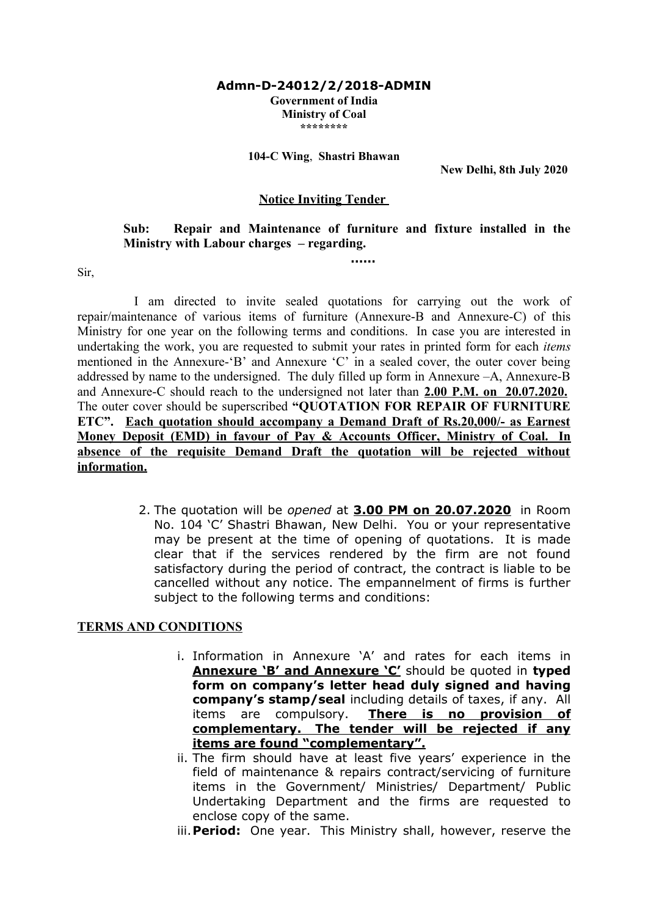#### **Admn-D-24012/2/2018-ADMIN Government of India Ministry of Coal \*\*\*\*\*\*\*\***

#### **104-C Wing**, **Shastri Bhawan**

**New Delhi, 8th July 2020** 

### **Notice Inviting Tender**

## **Sub: Repair and Maintenance of furniture and fixture installed in the Ministry with Labour charges – regarding.**

**……**

Sir,

I am directed to invite sealed quotations for carrying out the work of repair/maintenance of various items of furniture (Annexure-B and Annexure-C) of this Ministry for one year on the following terms and conditions. In case you are interested in undertaking the work, you are requested to submit your rates in printed form for each *items* mentioned in the Annexure-'B' and Annexure 'C' in a sealed cover, the outer cover being addressed by name to the undersigned. The duly filled up form in Annexure –A, Annexure-B and Annexure-C should reach to the undersigned not later than **2.00 P.M. on 20.07.2020.** The outer cover should be superscribed **"QUOTATION FOR REPAIR OF FURNITURE ETC". Each quotation should accompany a Demand Draft of Rs.20,000/- as Earnest Money Deposit (EMD) in favour of Pay & Accounts Officer, Ministry of Coal. In absence of the requisite Demand Draft the quotation will be rejected without information.**

> 2. The quotation will be *opened* at **3.00 PM on 20.07.2020** in Room No. 104 'C' Shastri Bhawan, New Delhi. You or your representative may be present at the time of opening of quotations. It is made clear that if the services rendered by the firm are not found satisfactory during the period of contract, the contract is liable to be cancelled without any notice. The empannelment of firms is further subject to the following terms and conditions:

### **TERMS AND CONDITIONS**

- i. Information in Annexure 'A' and rates for each items in **Annexure 'B' and Annexure 'C'** should be quoted in **typed form on company's letter head duly signed and having company's stamp/seal** including details of taxes, if any. All items are compulsory. **There is no provision of complementary. The tender will be rejected if any items are found "complementary".**
- ii. The firm should have at least five years' experience in the field of maintenance & repairs contract/servicing of furniture items in the Government/ Ministries/ Department/ Public Undertaking Department and the firms are requested to enclose copy of the same.
- iii.**Period:** One year. This Ministry shall, however, reserve the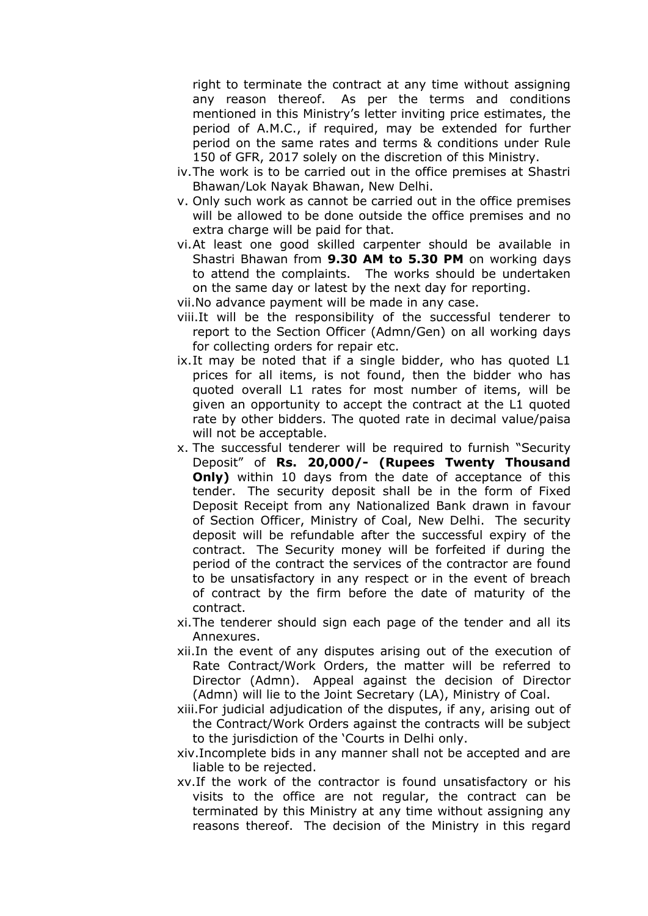right to terminate the contract at any time without assigning any reason thereof. As per the terms and conditions mentioned in this Ministry's letter inviting price estimates, the period of A.M.C., if required, may be extended for further period on the same rates and terms & conditions under Rule 150 of GFR, 2017 solely on the discretion of this Ministry.

- iv.The work is to be carried out in the office premises at Shastri Bhawan/Lok Nayak Bhawan, New Delhi.
- v. Only such work as cannot be carried out in the office premises will be allowed to be done outside the office premises and no extra charge will be paid for that.
- vi.At least one good skilled carpenter should be available in Shastri Bhawan from **9.30 AM to 5.30 PM** on working days to attend the complaints. The works should be undertaken on the same day or latest by the next day for reporting.
- vii.No advance payment will be made in any case.
- viii.It will be the responsibility of the successful tenderer to report to the Section Officer (Admn/Gen) on all working days for collecting orders for repair etc.
- ix.It may be noted that if a single bidder, who has quoted L1 prices for all items, is not found, then the bidder who has quoted overall L1 rates for most number of items, will be given an opportunity to accept the contract at the L1 quoted rate by other bidders. The quoted rate in decimal value/paisa will not be acceptable.
- x. The successful tenderer will be required to furnish "Security Deposit" of **Rs. 20,000/- (Rupees Twenty Thousand Only)** within 10 days from the date of acceptance of this tender. The security deposit shall be in the form of Fixed Deposit Receipt from any Nationalized Bank drawn in favour of Section Officer, Ministry of Coal, New Delhi. The security deposit will be refundable after the successful expiry of the contract. The Security money will be forfeited if during the period of the contract the services of the contractor are found to be unsatisfactory in any respect or in the event of breach of contract by the firm before the date of maturity of the contract.
- xi.The tenderer should sign each page of the tender and all its Annexures.
- xii.In the event of any disputes arising out of the execution of Rate Contract/Work Orders, the matter will be referred to Director (Admn). Appeal against the decision of Director (Admn) will lie to the Joint Secretary (LA), Ministry of Coal.
- xiii.For judicial adjudication of the disputes, if any, arising out of the Contract/Work Orders against the contracts will be subject to the jurisdiction of the 'Courts in Delhi only.
- xiv.Incomplete bids in any manner shall not be accepted and are liable to be rejected.
- xv.If the work of the contractor is found unsatisfactory or his visits to the office are not regular, the contract can be terminated by this Ministry at any time without assigning any reasons thereof. The decision of the Ministry in this regard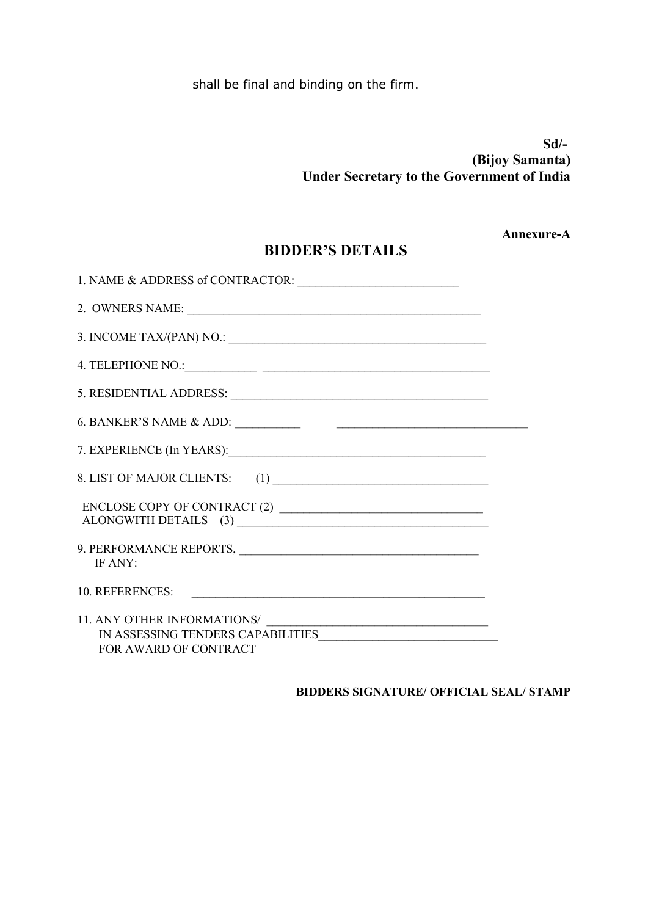shall be final and binding on the firm.

**Sd/- (Bijoy Samanta) Under Secretary to the Government of India**

**Annexure-A**

# **BIDDER'S DETAILS**

| 3. INCOME TAX/(PAN) NO.: $\qquad \qquad$                   |  |
|------------------------------------------------------------|--|
|                                                            |  |
|                                                            |  |
|                                                            |  |
|                                                            |  |
|                                                            |  |
|                                                            |  |
| IF ANY:                                                    |  |
| 10. REFERENCES:                                            |  |
| IN ASSESSING TENDERS CAPABILITIES<br>FOR AWARD OF CONTRACT |  |

**BIDDERS SIGNATURE/ OFFICIAL SEAL/ STAMP**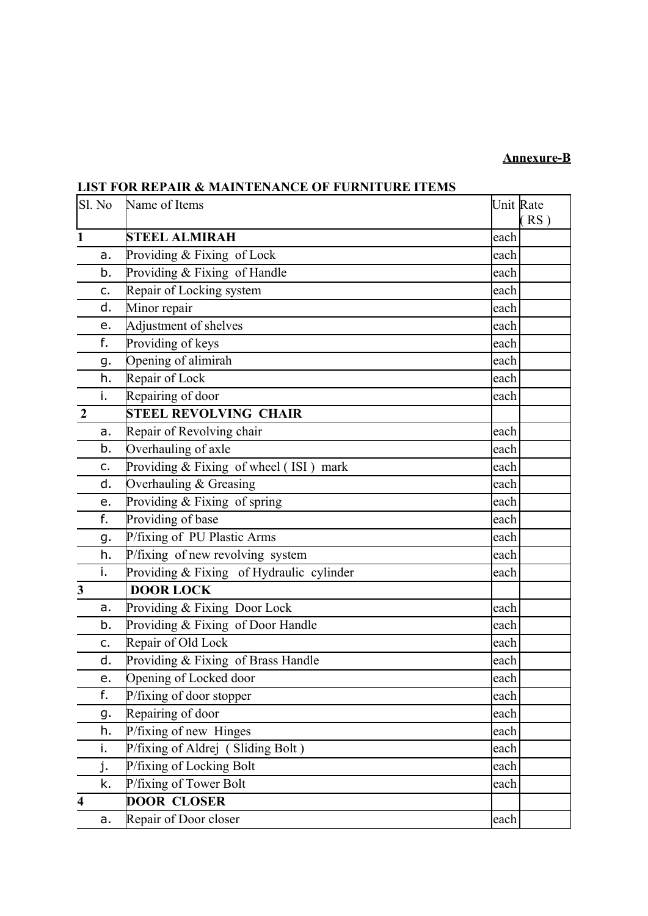## **Annexure-B**

| Sl. No                  | Name of Items                            | Unit Rate | RS) |
|-------------------------|------------------------------------------|-----------|-----|
| 1                       | <b>STEEL ALMIRAH</b>                     | each      |     |
| a.                      | Providing & Fixing of Lock               | each      |     |
| b.                      | Providing & Fixing of Handle             | each      |     |
| c.                      | Repair of Locking system                 | each      |     |
| d.                      | Minor repair                             | each      |     |
| е.                      | Adjustment of shelves                    | each      |     |
| f.                      | Providing of keys                        | each      |     |
| g.                      | Opening of alimirah                      | each      |     |
| h.                      | Repair of Lock                           | each      |     |
| i.                      | Repairing of door                        | each      |     |
| $\overline{2}$          | <b>STEEL REVOLVING CHAIR</b>             |           |     |
| a.                      | Repair of Revolving chair                | each      |     |
| b.                      | Overhauling of axle                      | each      |     |
| c.                      | Providing & Fixing of wheel (ISI) mark   | each      |     |
| d.                      | Overhauling & Greasing                   | each      |     |
| e.                      | Providing & Fixing of spring             | each      |     |
| f.                      | Providing of base                        | each      |     |
| g.                      | P/fixing of PU Plastic Arms              | each      |     |
| h.                      | P/fixing of new revolving system         | each      |     |
| i.                      | Providing & Fixing of Hydraulic cylinder | each      |     |
| $\overline{\mathbf{3}}$ | <b>DOOR LOCK</b>                         |           |     |
| a.                      | Providing & Fixing Door Lock             | each      |     |
| b.                      | Providing & Fixing of Door Handle        | each      |     |
| c.                      | Repair of Old Lock                       | each      |     |
| d.                      | Providing & Fixing of Brass Handle       | each      |     |
| e.                      | Opening of Locked door                   | each      |     |
| f.                      | P/fixing of door stopper                 | each      |     |
| g.                      | Repairing of door                        | each      |     |
| h.                      | P/fixing of new Hinges                   | each      |     |
| i.                      | P/fixing of Aldrej (Sliding Bolt)        | each      |     |
| j.                      | P/fixing of Locking Bolt                 | each      |     |
| k.                      | P/fixing of Tower Bolt                   | each      |     |
| $\overline{\mathbf{4}}$ | <b>DOOR CLOSER</b>                       |           |     |
| а.                      | Repair of Door closer                    | each      |     |

# **LIST FOR REPAIR & MAINTENANCE OF FURNITURE ITEMS**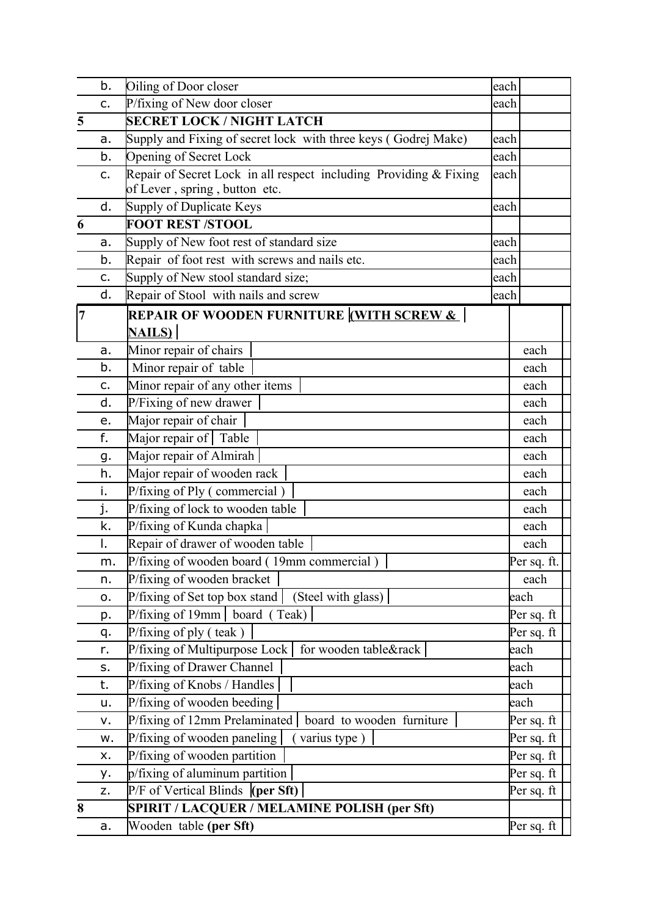|   | b.       | Oiling of Door closer                                             | each |              |
|---|----------|-------------------------------------------------------------------|------|--------------|
|   | c.       | P/fixing of New door closer                                       | each |              |
| 5 |          | <b>SECRET LOCK / NIGHT LATCH</b>                                  |      |              |
|   | a.       | Supply and Fixing of secret lock with three keys (Godrej Make)    | each |              |
|   | b.       | Opening of Secret Lock                                            | each |              |
|   | c.       | Repair of Secret Lock in all respect including Providing & Fixing | each |              |
|   |          | of Lever, spring, button etc.                                     |      |              |
|   | d.       | Supply of Duplicate Keys                                          | each |              |
| 6 |          | <b>FOOT REST /STOOL</b>                                           |      |              |
|   | a.       | Supply of New foot rest of standard size                          | each |              |
|   | b.       | Repair of foot rest with screws and nails etc.                    | each |              |
|   | с.       | Supply of New stool standard size;                                | each |              |
|   | d.       | Repair of Stool with nails and screw                              | each |              |
| 7 |          | <b>REPAIR OF WOODEN FURNITURE WITH SCREW &amp;  </b>              |      |              |
|   |          | <b>NAILS)</b>                                                     |      |              |
|   | a.       | Minor repair of chairs                                            |      | each         |
|   | b.       | Minor repair of table                                             |      | each         |
|   | c.       | Minor repair of any other items                                   |      | each         |
|   | d.       | P/Fixing of new drawer                                            |      | each         |
|   | е.       | Major repair of chair                                             |      | each         |
|   | f.       | Major repair of Table                                             |      | each         |
|   | g.       | Major repair of Almirah                                           |      | each         |
|   | h.       | Major repair of wooden rack                                       |      | each         |
|   | i.       | P/fixing of Ply (commercial)                                      |      | each         |
|   | j.       | P/fixing of lock to wooden table                                  |      | each         |
|   | k.       | P/fixing of Kunda chapka                                          |      | each         |
|   | I.       | Repair of drawer of wooden table                                  |      | each         |
|   | m.       | P/fixing of wooden board (19mm commercial)                        |      | Per sq. ft.  |
|   | n.       | P/fixing of wooden bracket                                        |      | each         |
|   | о.       | P/fixing of Set top box stand<br>(Steel with glass)               |      | each         |
|   | p.       | P/fixing of 19mm<br>board (Teak)                                  |      | Per sq. ft   |
|   | q.       | P/fixing of ply $($ teak)                                         |      | Per sq. ft   |
|   | r.       | P/fixing of Multipurpose Lock $\vert$<br>for wooden table&rack    |      | each         |
|   | s.       | P/fixing of Drawer Channel                                        |      | each         |
|   | t.<br>u. | P/fixing of Knobs / Handles<br>P/fixing of wooden beeding         |      | each<br>each |
|   |          | P/fixing of 12mm Prelaminated<br>board to wooden furniture        |      | Per sq. ft   |
|   | ν.<br>w. | P/fixing of wooden paneling<br>varius type)                       |      | Per sq. ft   |
|   | х.       | P/fixing of wooden partition                                      |      | Per sq. ft   |
|   |          | p/fixing of aluminum partition                                    |      | Per sq. ft   |
|   | у.<br>z. | $P/F$ of Vertical Blinds (per Sft)                                |      | Per sq. ft   |
| 8 |          | SPIRIT / LACQUER / MELAMINE POLISH (per Sft)                      |      |              |
|   | а.       | Wooden table (per Sft)                                            |      | Per sq. ft   |
|   |          |                                                                   |      |              |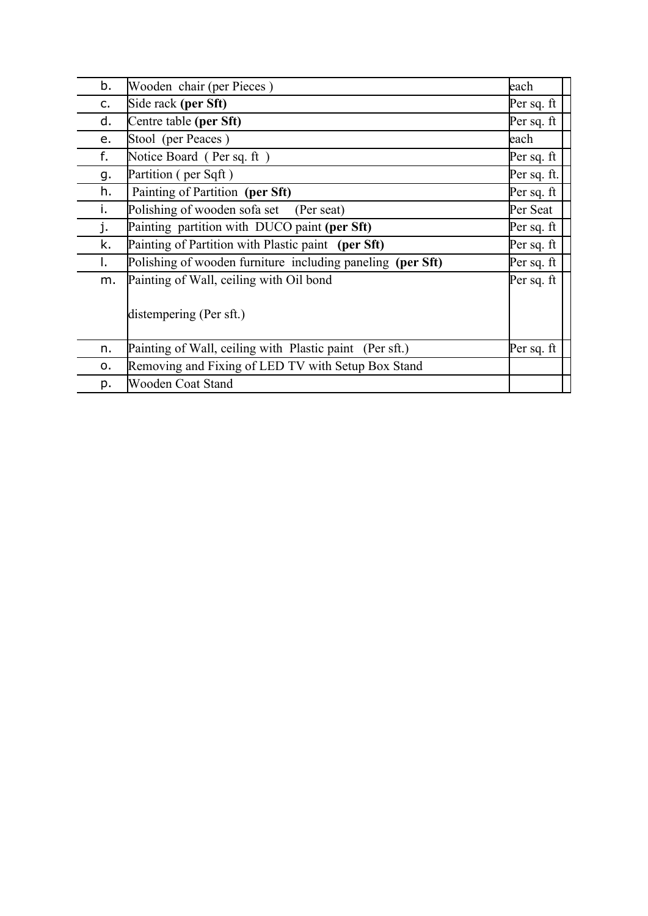| b. | Wooden chair (per Pieces)                                  | each        |
|----|------------------------------------------------------------|-------------|
| c. | Side rack (per Sft)                                        | Per sq. ft  |
| d. | Centre table (per Sft)                                     | Per sq. ft  |
| е. | Stool (per Peaces)                                         | each        |
| f. | Notice Board (Per sq. ft)                                  | Per sq. ft  |
| g. | Partition (per Sqft)                                       | Per sq. ft. |
| h. | Painting of Partition (per Sft)                            | Per sq. ft  |
| i. | Polishing of wooden sofa set (Per seat)                    | Per Seat    |
| j. | Painting partition with DUCO paint (per Sft)               | Per sq. ft  |
| k. | Painting of Partition with Plastic paint (per Sft)         | Per sq. ft  |
| Τ. | Polishing of wooden furniture including paneling (per Sft) | Per sq. ft  |
| m. | Painting of Wall, ceiling with Oil bond                    | Per sq. ft  |
|    | distempering (Per sft.)                                    |             |
| n. | Painting of Wall, ceiling with Plastic paint (Per sft.)    | Per sq. ft  |
| о. | Removing and Fixing of LED TV with Setup Box Stand         |             |
| p. | Wooden Coat Stand                                          |             |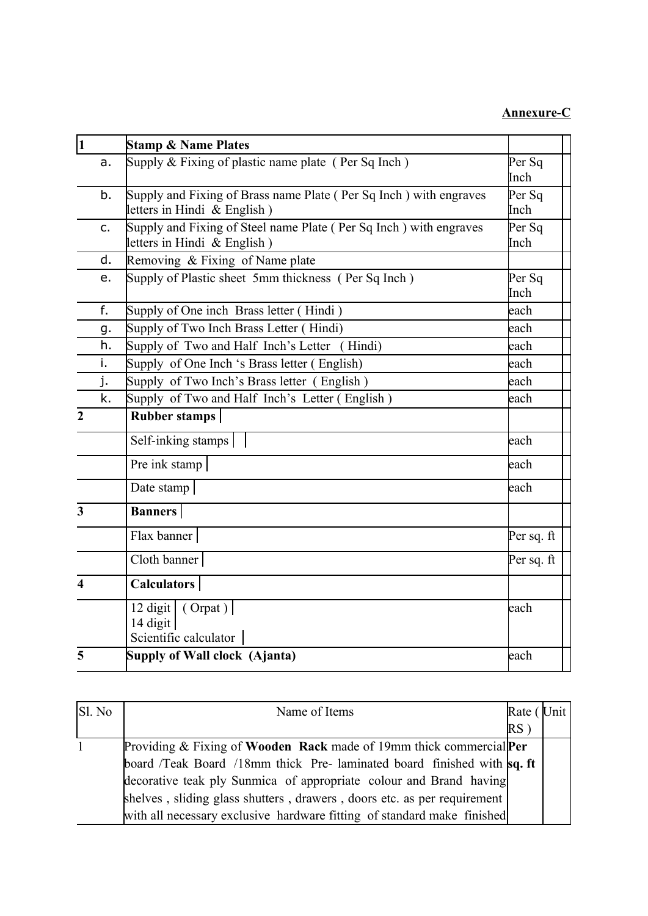## **Annexure-C**

| $\overline{\mathbf{1}}$ | <b>Stamp &amp; Name Plates</b>                                                                     |                |
|-------------------------|----------------------------------------------------------------------------------------------------|----------------|
| a.                      | Supply $&$ Fixing of plastic name plate (Per Sq Inch)                                              | Per Sq<br>Inch |
| b.                      | Supply and Fixing of Brass name Plate (Per Sq Inch) with engraves<br>letters in Hindi & English)   | Per Sq<br>Inch |
| c.                      | Supply and Fixing of Steel name Plate (Per Sq Inch) with engraves<br>letters in Hindi $&$ English) | Per Sq<br>Inch |
| d.                      | Removing & Fixing of Name plate                                                                    |                |
| e.                      | Supply of Plastic sheet 5mm thickness (Per Sq Inch)                                                | Per Sq<br>Inch |
| f.                      | Supply of One inch Brass letter (Hindi)                                                            | each           |
| g.                      | Supply of Two Inch Brass Letter (Hindi)                                                            | each           |
| h.                      | Supply of Two and Half Inch's Letter (Hindi)                                                       | each           |
| i.                      | Supply of One Inch 's Brass letter (English)                                                       | each           |
| j.                      | Supply of Two Inch's Brass letter (English)                                                        | each           |
| k.                      | Supply of Two and Half Inch's Letter (English)                                                     | each           |
| $\overline{2}$          | <b>Rubber stamps</b>                                                                               |                |
|                         | Self-inking stamps                                                                                 | each           |
|                         | Pre ink stamp                                                                                      | each           |
|                         | Date stamp                                                                                         | each           |
| 3                       | <b>Banners</b>                                                                                     |                |
|                         | Flax banner                                                                                        | Per sq. ft     |
|                         | Cloth banner                                                                                       | Per sq. ft     |
| $\boldsymbol{\Lambda}$  | <b>Calculators</b>                                                                                 |                |
|                         | 12 digit $\vert$ (Orpat) $\vert$<br>14 digit<br>Scientific calculator                              | each           |
| 5                       | Supply of Wall clock (Ajanta)                                                                      | each           |

| Sl. No | Name of Items                                                           | Rate ( | Unit |
|--------|-------------------------------------------------------------------------|--------|------|
|        |                                                                         | $RS$ ) |      |
| 1      | Providing & Fixing of Wooden Rack made of 19mm thick commercial Per     |        |      |
|        | board /Teak Board /18mm thick Pre-laminated board finished with sq. ft  |        |      |
|        | decorative teak ply Sunmica of appropriate colour and Brand having      |        |      |
|        | shelves, sliding glass shutters, drawers, doors etc. as per requirement |        |      |
|        | with all necessary exclusive hardware fitting of standard make finished |        |      |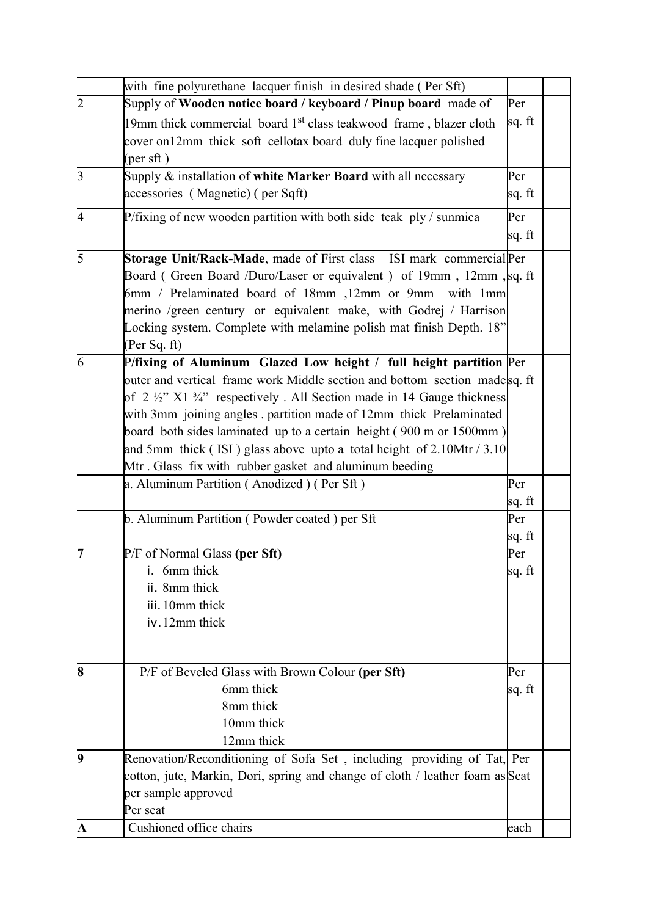|                | with fine polyurethane lacquer finish in desired shade (Per Sft)                            |        |  |
|----------------|---------------------------------------------------------------------------------------------|--------|--|
| $\overline{2}$ | Supply of Wooden notice board / keyboard / Pinup board made of                              | Per    |  |
|                | 19mm thick commercial board 1 <sup>st</sup> class teakwood frame, blazer cloth              | sq. ft |  |
|                | cover on 12mm thick soft cellotax board duly fine lacquer polished                          |        |  |
|                | $(\text{per sft})$                                                                          |        |  |
| 3              | Supply $\&$ installation of white Marker Board with all necessary                           | Per    |  |
|                | accessories (Magnetic) (per Sqft)                                                           | sq. ft |  |
| $\overline{4}$ | P/fixing of new wooden partition with both side teak $p/y /$ sunmica                        | Per    |  |
|                |                                                                                             | sq. ft |  |
|                |                                                                                             |        |  |
| $\overline{5}$ | Storage Unit/Rack-Made, made of First class ISI mark commercial Per                         |        |  |
|                | Board (Green Board /Duro/Laser or equivalent) of 19mm, 12mm, sq. ft                         |        |  |
|                | 6mm / Prelaminated board of 18mm ,12mm or 9mm with 1mm                                      |        |  |
|                | merino /green century or equivalent make, with Godrej / Harrison                            |        |  |
|                | Locking system. Complete with melamine polish mat finish Depth. 18"                         |        |  |
|                | (Per Sq. ft)                                                                                |        |  |
| 6              | P/fixing of Aluminum Glazed Low height / full height partition Per                          |        |  |
|                | outer and vertical frame work Middle section and bottom section madesq. ft                  |        |  |
|                | of $2\frac{1}{2}$ " X1 $\frac{3}{4}$ " respectively. All Section made in 14 Gauge thickness |        |  |
|                | with 3mm joining angles partition made of 12mm thick Prelaminated                           |        |  |
|                | board both sides laminated up to a certain height (900 m or 1500mm)                         |        |  |
|                | and 5mm thick (ISI) glass above upto a total height of $2.10$ Mtr / $3.10$                  |        |  |
|                | Mtr. Glass fix with rubber gasket and aluminum beeding                                      |        |  |
|                | a. Aluminum Partition (Anodized) (Per Sft)                                                  | Per    |  |
|                |                                                                                             | sq. ft |  |
|                | b. Aluminum Partition (Powder coated) per Sft                                               | Per    |  |
|                |                                                                                             | sq. ft |  |
| 7              | $P/F$ of Normal Glass (per Sft)                                                             | Per    |  |
|                | 6mm thick                                                                                   | sq. ft |  |
|                | ii. 8mm thick                                                                               |        |  |
|                | iii. 10mm thick                                                                             |        |  |
|                | iv.12mm thick                                                                               |        |  |
|                |                                                                                             |        |  |
|                |                                                                                             |        |  |
| 8              | P/F of Beveled Glass with Brown Colour (per Sft)                                            | Per    |  |
|                | 6mm thick                                                                                   | sq. ft |  |
|                | 8mm thick                                                                                   |        |  |
|                | 10mm thick                                                                                  |        |  |
|                | 12mm thick                                                                                  |        |  |
| 9              | Renovation/Reconditioning of Sofa Set, including providing of Tat, Per                      |        |  |
|                | cotton, jute, Markin, Dori, spring and change of cloth / leather foam as Seat               |        |  |
|                | per sample approved                                                                         |        |  |
|                | Per seat                                                                                    |        |  |
| $\mathbf{A}$   | Cushioned office chairs                                                                     | each   |  |